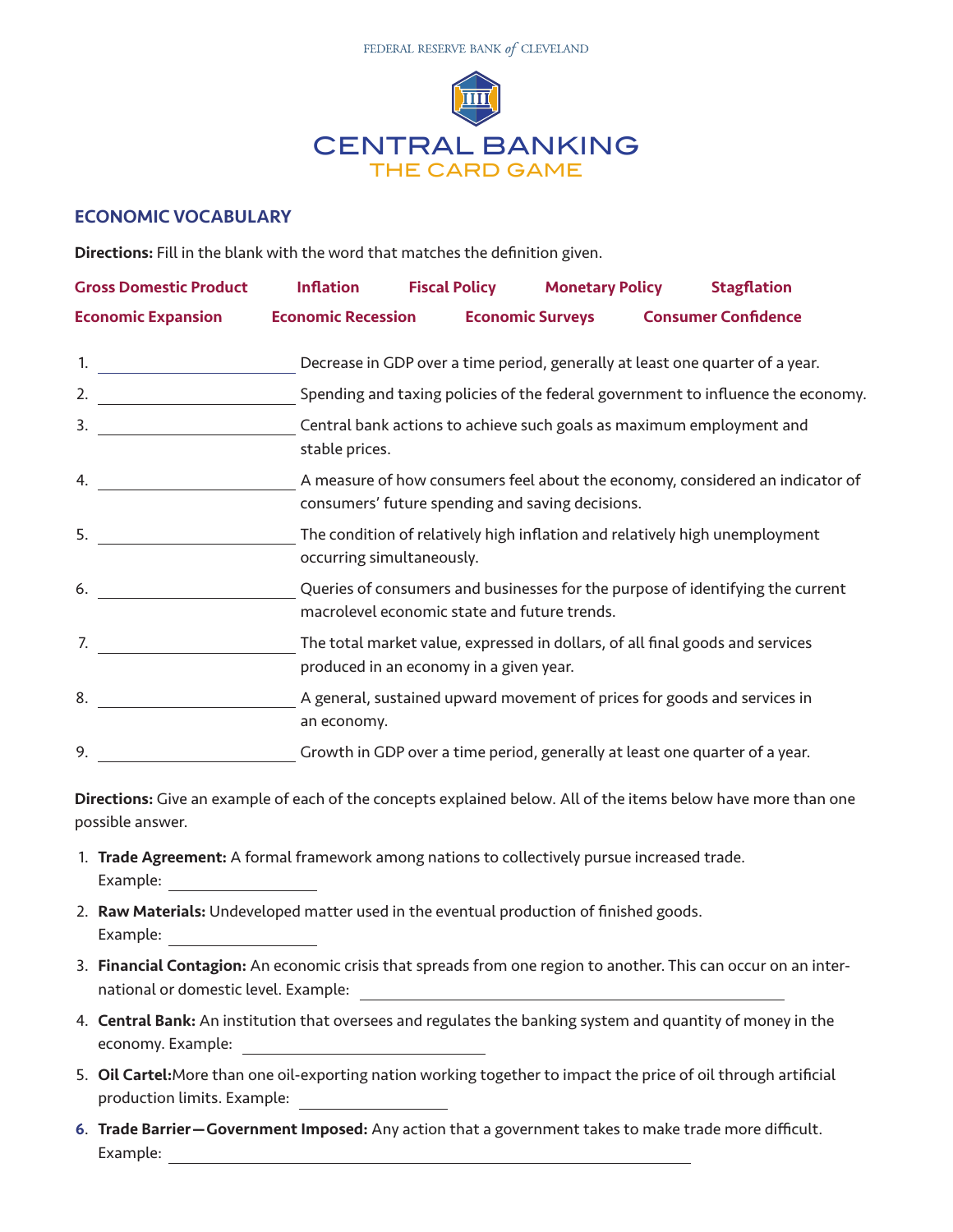

## ECONOMIC VOCABULARY

Directions: Fill in the blank with the word that matches the definition given.

| <b>Gross Domestic Product</b> | <b>Inflation</b>                                                                       | <b>Fiscal Policy</b>                                                                                                              | <b>Monetary Policy</b>  |  | <b>Stagflation</b>                                                          |  |
|-------------------------------|----------------------------------------------------------------------------------------|-----------------------------------------------------------------------------------------------------------------------------------|-------------------------|--|-----------------------------------------------------------------------------|--|
| <b>Economic Expansion</b>     | <b>Economic Recession</b>                                                              |                                                                                                                                   | <b>Economic Surveys</b> |  | <b>Consumer Confidence</b>                                                  |  |
|                               | Decrease in GDP over a time period, generally at least one quarter of a year.          |                                                                                                                                   |                         |  |                                                                             |  |
| 2.                            | Spending and taxing policies of the federal government to influence the economy.       |                                                                                                                                   |                         |  |                                                                             |  |
| 3.                            | Central bank actions to achieve such goals as maximum employment and<br>stable prices. |                                                                                                                                   |                         |  |                                                                             |  |
| 4.                            |                                                                                        | A measure of how consumers feel about the economy, considered an indicator of<br>consumers' future spending and saving decisions. |                         |  |                                                                             |  |
| 5.                            |                                                                                        | The condition of relatively high inflation and relatively high unemployment<br>occurring simultaneously.                          |                         |  |                                                                             |  |
| 6.                            |                                                                                        | Queries of consumers and businesses for the purpose of identifying the current<br>macrolevel economic state and future trends.    |                         |  |                                                                             |  |
| 7.                            |                                                                                        | The total market value, expressed in dollars, of all final goods and services<br>produced in an economy in a given year.          |                         |  |                                                                             |  |
| 8.                            | an economy.                                                                            | A general, sustained upward movement of prices for goods and services in                                                          |                         |  |                                                                             |  |
| 9.                            |                                                                                        |                                                                                                                                   |                         |  | Growth in GDP over a time period, generally at least one quarter of a year. |  |

Directions: Give an example of each of the concepts explained below. All of the items below have more than one possible answer.

- 1. Trade Agreement: A formal framework among nations to collectively pursue increased trade. Example:
- 2. Raw Materials: Undeveloped matter used in the eventual production of finished goods. Example:
- 3. Financial Contagion: An economic crisis that spreads from one region to another. This can occur on an international or domestic level. Example:
- 4. Central Bank: An institution that oversees and regulates the banking system and quantity of money in the economy. Example:
- 5. Oil Cartel:More than one oil-exporting nation working together to impact the price of oil through artificial production limits. Example:
- 6. Trade Barrier—Government Imposed: Any action that a government takes to make trade more difficult. Example: